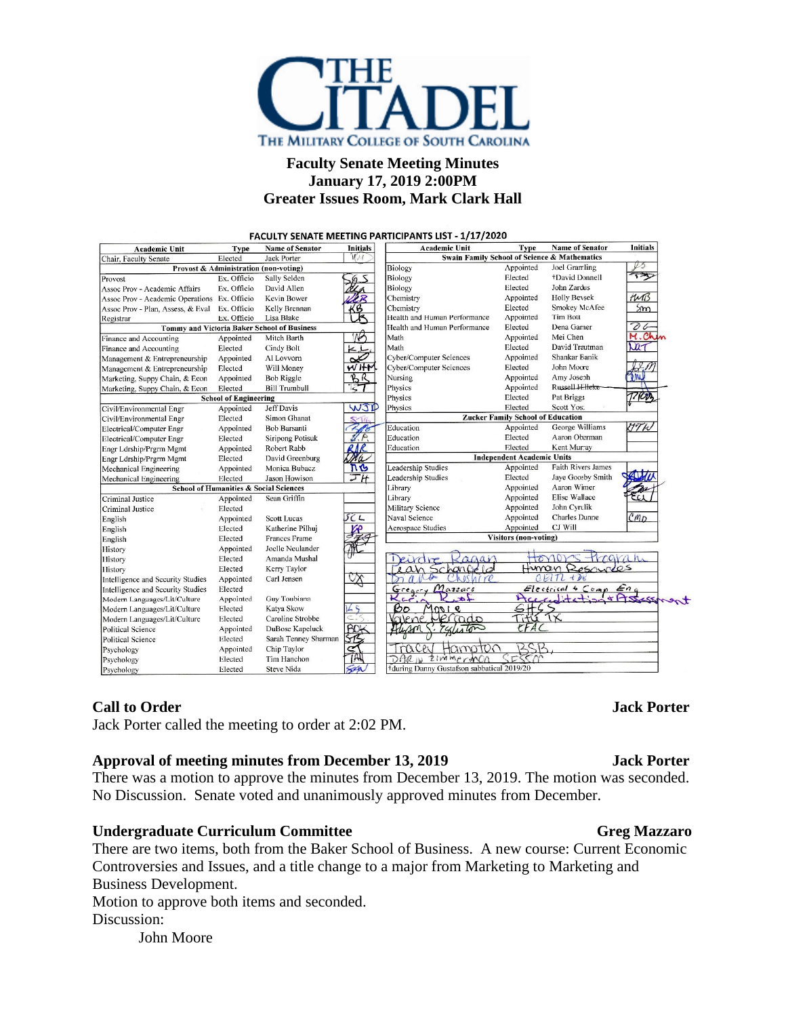

# **Faculty Senate Meeting Minutes January 17, 2019 2:00PM Greater Issues Room, Mark Clark Hall**

**Initials Initials Name of Senator** Academic Unit Type **Name of Senator Academic Unit Type** Jack Porter **Swain Family School of Science & Mathematics** Chair, Faculty Senate Elected Biology Appointed Joel Gramling Provost & Administration (non-voting) 13 Ex. Officio **Sally Selden** Biology Elected +David Donnell Provost Assoc Prov - Academic Affairs Ex. Officio David Allen Biology Elected John Zardus Appointed **Holly Beysek**  $MN$ Assoc Prov - Academic Operations Ex. Officio **Kevin Bower** Chemistry Assoc Prov - Plan, Assess, & Eval Chemistry Ex. Officio Kelly Brennan Elected Smokey McAfee  $Sm$ Lisa Blake Health and Human Performance Appointed Tim Rott Ex. Officio Registrar  $\overline{\partial}$  6 **Tommy and Victoria Baker School of Business** Health and Human Performance Elected Dena Garner M.Ch Mei Chen Mitch Barth Math Appointed Finance and Accounting Appointed Elected David Trautman Cindy Bolt Math Elected  $\mathbf{h}$ Finance and Accounting Al Lovvorn Shankar Banik Management & Entrepreneurship Appointed Cyber/Computer Sciences Appointed Will Money John Moore Management & Entrepreneurship Elected  $M$  Ith **Cyber/Computer Sciences** Elected Amy Joseph Marketing, Suppy Chain, & Econ Appointed **Bob Riggle** Nursing Appointed Russell Hillel Appointed Marketing, Suppy Chain, & Econ Flected **Bill Trumbull** Physics Pat Briggs 77 (Cr) Elected **School of Engineering** Physics Appointed **Jeff Davis** Physics Elected Scott Yost Civil/Environmental Engr **Zucker Family School of Education** Civil/Environmental Engr Elected Simon Ghanat Education George Williams **UTW** Electrical/Computer Engr **Bob Barsanti** Appointed Appointed Aaron Oberman Elected Siripong Potisuk Education Electrical/Computer Engr Elected Education Elected Kent Murray Robert Rabb Engr Ldrship/Prgrm Mgmt Appointed **Independent Academic Units** David Greenburg Engr Ldrship/Prgrm Mgmt Elected Appointed Leadership Studies Faith Rivers James Appointed Monica Bubacz Mechanical Engineering Jason Howison Leadership Studies Elected Jaye Goosby Smith Elected Mechanical Engineering Aaron Wimer Library Appointed **School of Humanities & Social Sciences** Appointed Elise Wallace Criminal Justice Appointed Sean Griffin Library Military Science Appointed John Cyrulik **Criminal Justice** Elected English Appointed **Scott Lucas** Naval Science Appointed **Charles Dunne** CMD Appointed English Elected Katherine Pilhuj Aerospace Studies CJ Will **Visitors (non-voting)** English Elected Frances Frame Joelle Neulander History Appointed Deurdre Honors-Hogran History Amanda Mushal Elected Kagai Schancelo Human Resources History Elected Kerry Taylor Lean Appointed Carl Jensen  $ERT + DE$ Intelligence and Security Studies  $20d$ Electrical & Comp Eng<br>McCraditation & Assesse<br>HGS Intelligence and Security Studies  $M$ azzare  $Greger$ Elected Appointed Guy Toubiana Modern Languages/Lit/Culture Modern Languages/Lit/Culture Elected Katya Skow Bo  $MQQI$  $\mathbf{e}$ Modern Languages/Lit/Culture Elected Caroline Strobbe Political Science Appointed DuBose Kapeluck Political Science Elected Sarah Tenney Sharmar Hampto. Appointed Chip Taylor Tracey Psychology Psychology Elected Tim Hanchon  $DGLW$ zimmermon **Steve Nida** during Danny Gustafson sabbatical 2019/20 Psychology Elected

## **Call to Order Jack Porter**

Jack Porter called the meeting to order at 2:02 PM.

## **Approval of meeting minutes from December 13, 2019 Jack Porter**

There was a motion to approve the minutes from December 13, 2019. The motion was seconded. No Discussion. Senate voted and unanimously approved minutes from December.

## **Undergraduate Curriculum Committee Greg Mazzaro**

There are two items, both from the Baker School of Business. A new course: Current Economic Controversies and Issues, and a title change to a major from Marketing to Marketing and Business Development.

Motion to approve both items and seconded. Discussion:

John Moore

## FACULTY SENATE MEETING PARTICIPANTS LIST - 1/17/2020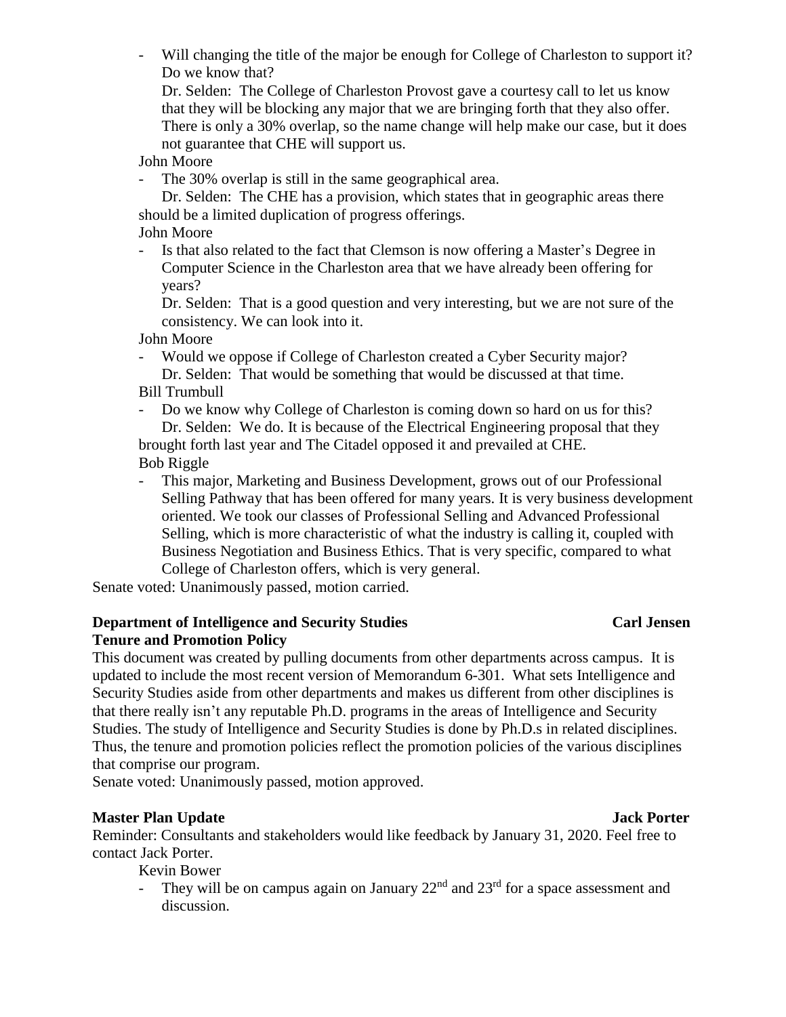- Will changing the title of the major be enough for College of Charleston to support it? Do we know that?

Dr. Selden: The College of Charleston Provost gave a courtesy call to let us know that they will be blocking any major that we are bringing forth that they also offer. There is only a 30% overlap, so the name change will help make our case, but it does not guarantee that CHE will support us.

John Moore

- The 30% overlap is still in the same geographical area.

Dr. Selden: The CHE has a provision, which states that in geographic areas there should be a limited duplication of progress offerings.

John Moore

- Is that also related to the fact that Clemson is now offering a Master's Degree in Computer Science in the Charleston area that we have already been offering for years?

Dr. Selden: That is a good question and very interesting, but we are not sure of the consistency. We can look into it.

John Moore

- Would we oppose if College of Charleston created a Cyber Security major? Dr. Selden: That would be something that would be discussed at that time.

Bill Trumbull

- Do we know why College of Charleston is coming down so hard on us for this? Dr. Selden: We do. It is because of the Electrical Engineering proposal that they brought forth last year and The Citadel opposed it and prevailed at CHE.
- Bob Riggle
- This major, Marketing and Business Development, grows out of our Professional Selling Pathway that has been offered for many years. It is very business development oriented. We took our classes of Professional Selling and Advanced Professional Selling, which is more characteristic of what the industry is calling it, coupled with Business Negotiation and Business Ethics. That is very specific, compared to what College of Charleston offers, which is very general.

Senate voted: Unanimously passed, motion carried.

# **Department of Intelligence and Security Studies Carl Jensen Tenure and Promotion Policy**

This document was created by pulling documents from other departments across campus. It is updated to include the most recent version of Memorandum 6-301. What sets Intelligence and Security Studies aside from other departments and makes us different from other disciplines is that there really isn't any reputable Ph.D. programs in the areas of Intelligence and Security Studies. The study of Intelligence and Security Studies is done by Ph.D.s in related disciplines. Thus, the tenure and promotion policies reflect the promotion policies of the various disciplines that comprise our program.

Senate voted: Unanimously passed, motion approved.

# **Master Plan Update** Jack **Porter**

Reminder: Consultants and stakeholders would like feedback by January 31, 2020. Feel free to contact Jack Porter.

Kevin Bower

- They will be on campus again on January  $22<sup>nd</sup>$  and  $23<sup>rd</sup>$  for a space assessment and discussion.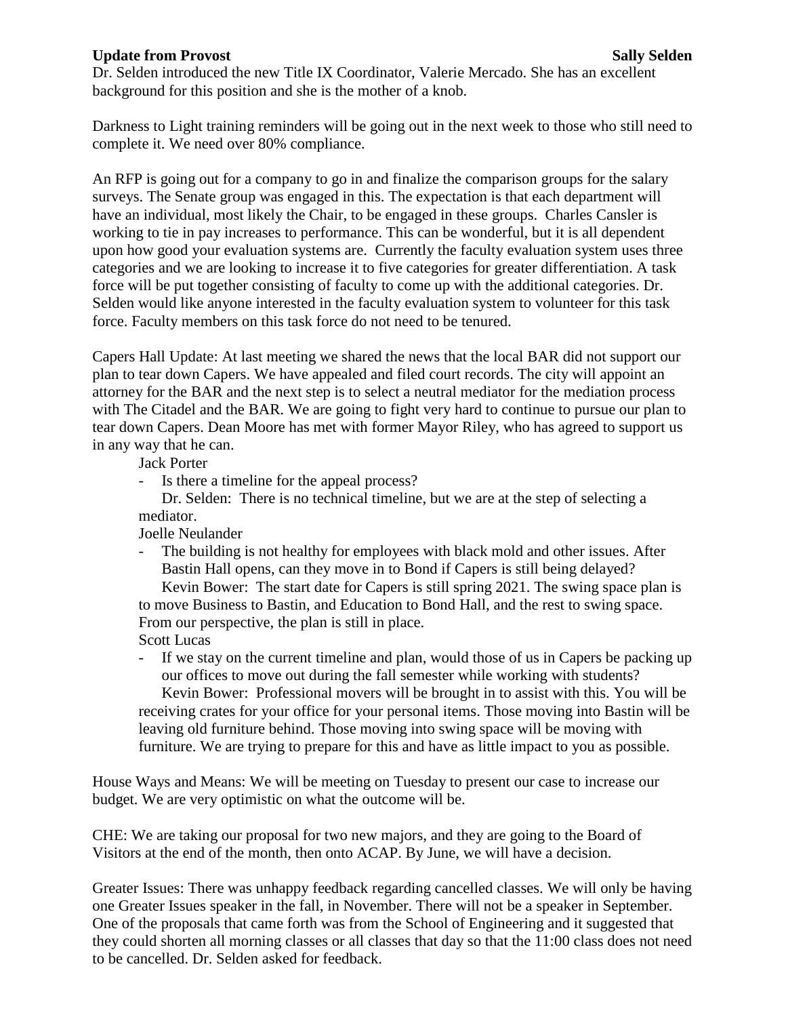## **Update from Provost** Sally Selden

Dr. Selden introduced the new Title IX Coordinator, Valerie Mercado. She has an excellent background for this position and she is the mother of a knob.

Darkness to Light training reminders will be going out in the next week to those who still need to complete it. We need over 80% compliance.

An RFP is going out for a company to go in and finalize the comparison groups for the salary surveys. The Senate group was engaged in this. The expectation is that each department will have an individual, most likely the Chair, to be engaged in these groups. Charles Cansler is working to tie in pay increases to performance. This can be wonderful, but it is all dependent upon how good your evaluation systems are. Currently the faculty evaluation system uses three categories and we are looking to increase it to five categories for greater differentiation. A task force will be put together consisting of faculty to come up with the additional categories. Dr. Selden would like anyone interested in the faculty evaluation system to volunteer for this task force. Faculty members on this task force do not need to be tenured.

Capers Hall Update: At last meeting we shared the news that the local BAR did not support our plan to tear down Capers. We have appealed and filed court records. The city will appoint an attorney for the BAR and the next step is to select a neutral mediator for the mediation process with The Citadel and the BAR. We are going to fight very hard to continue to pursue our plan to tear down Capers. Dean Moore has met with former Mayor Riley, who has agreed to support us in any way that he can.

Jack Porter

- Is there a timeline for the appeal process?

Dr. Selden: There is no technical timeline, but we are at the step of selecting a mediator.

Joelle Neulander

- The building is not healthy for employees with black mold and other issues. After Bastin Hall opens, can they move in to Bond if Capers is still being delayed? Kevin Bower: The start date for Capers is still spring 2021. The swing space plan is

to move Business to Bastin, and Education to Bond Hall, and the rest to swing space. From our perspective, the plan is still in place.

Scott Lucas

- If we stay on the current timeline and plan, would those of us in Capers be packing up our offices to move out during the fall semester while working with students? Kevin Bower: Professional movers will be brought in to assist with this. You will be receiving crates for your office for your personal items. Those moving into Bastin will be leaving old furniture behind. Those moving into swing space will be moving with furniture. We are trying to prepare for this and have as little impact to you as possible.

House Ways and Means: We will be meeting on Tuesday to present our case to increase our budget. We are very optimistic on what the outcome will be.

CHE: We are taking our proposal for two new majors, and they are going to the Board of Visitors at the end of the month, then onto ACAP. By June, we will have a decision.

Greater Issues: There was unhappy feedback regarding cancelled classes. We will only be having one Greater Issues speaker in the fall, in November. There will not be a speaker in September. One of the proposals that came forth was from the School of Engineering and it suggested that they could shorten all morning classes or all classes that day so that the 11:00 class does not need to be cancelled. Dr. Selden asked for feedback.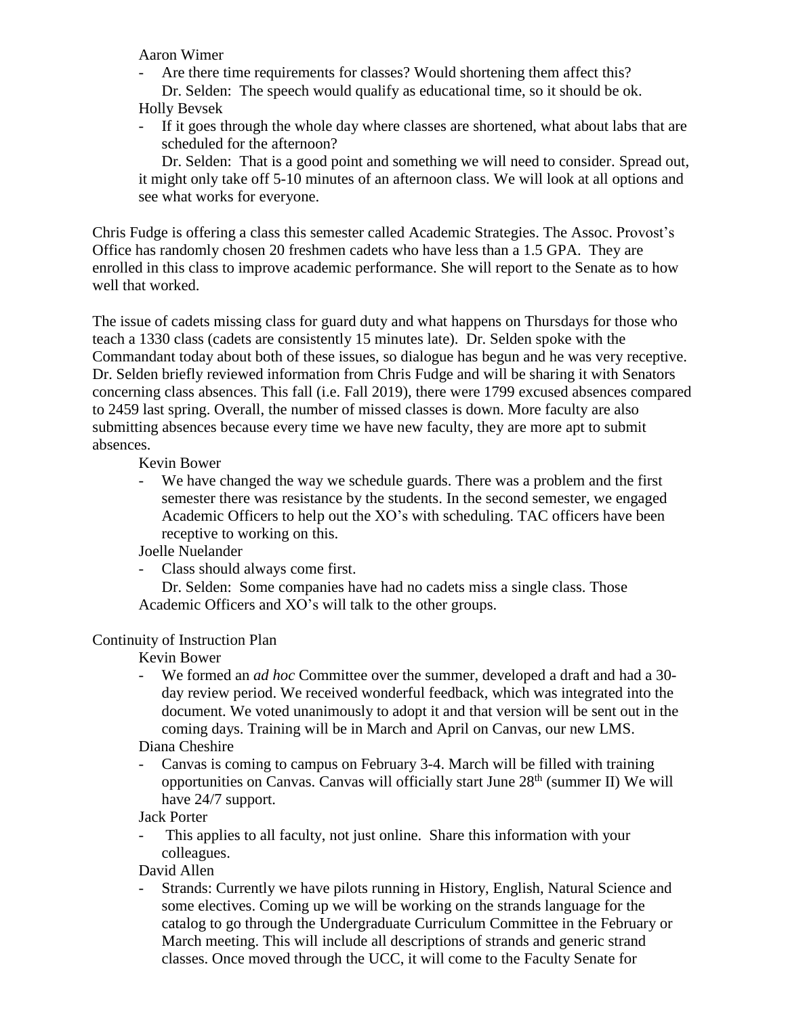Aaron Wimer

- Are there time requirements for classes? Would shortening them affect this? Dr. Selden: The speech would qualify as educational time, so it should be ok. Holly Bevsek
- If it goes through the whole day where classes are shortened, what about labs that are scheduled for the afternoon?

Dr. Selden: That is a good point and something we will need to consider. Spread out, it might only take off 5-10 minutes of an afternoon class. We will look at all options and see what works for everyone.

Chris Fudge is offering a class this semester called Academic Strategies. The Assoc. Provost's Office has randomly chosen 20 freshmen cadets who have less than a 1.5 GPA. They are enrolled in this class to improve academic performance. She will report to the Senate as to how well that worked.

The issue of cadets missing class for guard duty and what happens on Thursdays for those who teach a 1330 class (cadets are consistently 15 minutes late). Dr. Selden spoke with the Commandant today about both of these issues, so dialogue has begun and he was very receptive. Dr. Selden briefly reviewed information from Chris Fudge and will be sharing it with Senators concerning class absences. This fall (i.e. Fall 2019), there were 1799 excused absences compared to 2459 last spring. Overall, the number of missed classes is down. More faculty are also submitting absences because every time we have new faculty, they are more apt to submit absences.

Kevin Bower

- We have changed the way we schedule guards. There was a problem and the first semester there was resistance by the students. In the second semester, we engaged Academic Officers to help out the XO's with scheduling. TAC officers have been receptive to working on this.

Joelle Nuelander

Class should always come first.

Dr. Selden: Some companies have had no cadets miss a single class. Those Academic Officers and XO's will talk to the other groups.

# Continuity of Instruction Plan

Kevin Bower

- We formed an *ad hoc* Committee over the summer, developed a draft and had a 30 day review period. We received wonderful feedback, which was integrated into the document. We voted unanimously to adopt it and that version will be sent out in the coming days. Training will be in March and April on Canvas, our new LMS.

# Diana Cheshire

- Canvas is coming to campus on February 3-4. March will be filled with training opportunities on Canvas. Canvas will officially start June  $28<sup>th</sup>$  (summer II) We will have 24/7 support.

Jack Porter

This applies to all faculty, not just online. Share this information with your colleagues.

David Allen

- Strands: Currently we have pilots running in History, English, Natural Science and some electives. Coming up we will be working on the strands language for the catalog to go through the Undergraduate Curriculum Committee in the February or March meeting. This will include all descriptions of strands and generic strand classes. Once moved through the UCC, it will come to the Faculty Senate for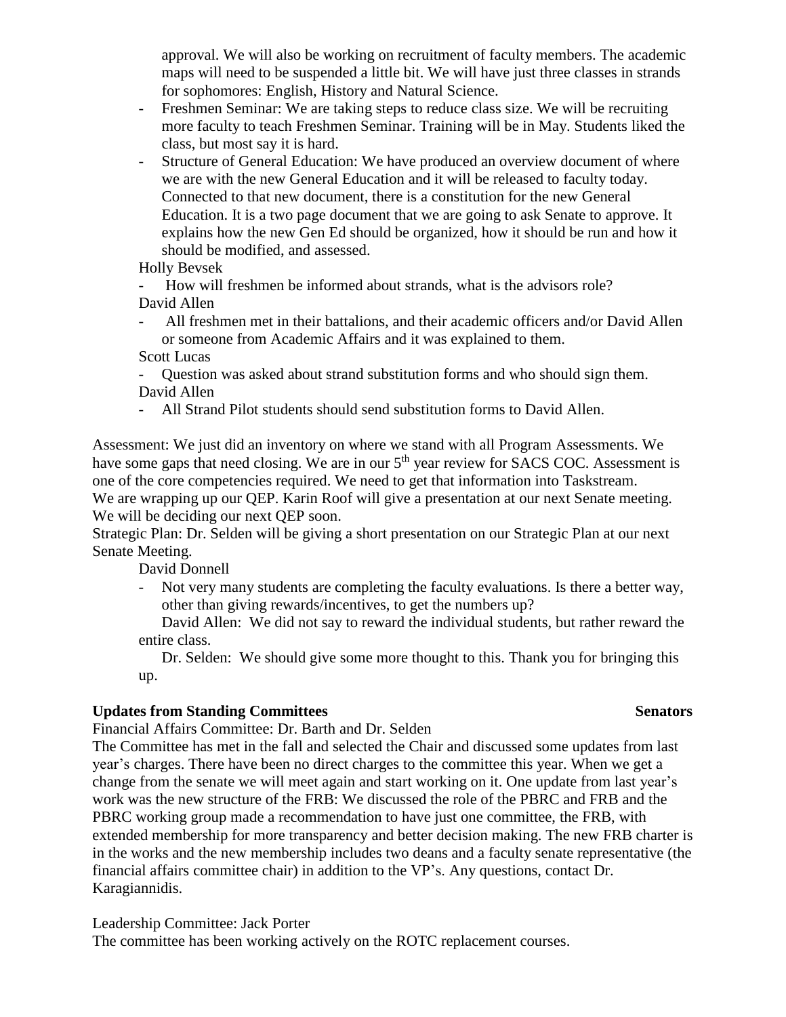approval. We will also be working on recruitment of faculty members. The academic maps will need to be suspended a little bit. We will have just three classes in strands for sophomores: English, History and Natural Science.

- Freshmen Seminar: We are taking steps to reduce class size. We will be recruiting more faculty to teach Freshmen Seminar. Training will be in May. Students liked the class, but most say it is hard.
- Structure of General Education: We have produced an overview document of where we are with the new General Education and it will be released to faculty today. Connected to that new document, there is a constitution for the new General Education. It is a two page document that we are going to ask Senate to approve. It explains how the new Gen Ed should be organized, how it should be run and how it should be modified, and assessed.

Holly Bevsek

- How will freshmen be informed about strands, what is the advisors role? David Allen

- All freshmen met in their battalions, and their academic officers and/or David Allen or someone from Academic Affairs and it was explained to them.

Scott Lucas

- Question was asked about strand substitution forms and who should sign them. David Allen
- All Strand Pilot students should send substitution forms to David Allen.

Assessment: We just did an inventory on where we stand with all Program Assessments. We have some gaps that need closing. We are in our 5<sup>th</sup> year review for SACS COC. Assessment is one of the core competencies required. We need to get that information into Taskstream.

We are wrapping up our QEP. Karin Roof will give a presentation at our next Senate meeting. We will be deciding our next QEP soon.

Strategic Plan: Dr. Selden will be giving a short presentation on our Strategic Plan at our next Senate Meeting.

David Donnell

- Not very many students are completing the faculty evaluations. Is there a better way, other than giving rewards/incentives, to get the numbers up?

David Allen: We did not say to reward the individual students, but rather reward the entire class.

Dr. Selden: We should give some more thought to this. Thank you for bringing this up.

# **Updates from Standing Committees Senators**

Financial Affairs Committee: Dr. Barth and Dr. Selden

The Committee has met in the fall and selected the Chair and discussed some updates from last year's charges. There have been no direct charges to the committee this year. When we get a change from the senate we will meet again and start working on it. One update from last year's work was the new structure of the FRB: We discussed the role of the PBRC and FRB and the PBRC working group made a recommendation to have just one committee, the FRB, with extended membership for more transparency and better decision making. The new FRB charter is in the works and the new membership includes two deans and a faculty senate representative (the financial affairs committee chair) in addition to the VP's. Any questions, contact Dr. Karagiannidis.

Leadership Committee: Jack Porter

The committee has been working actively on the ROTC replacement courses.